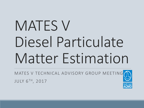# MATES V Diesel Particulate Matter Estimation

MATES V TECHNICAL ADVISORY GROUP MEETING JULY 6TH, 2017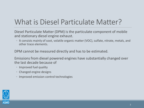# What is Diesel Particulate Matter?

Diesel Particulate Matter (DPM) is the particulate component of mobile and stationary diesel engine exhaust.

◦ It consists mainly of soot, volatile organic matter (VOC), sulfate, nitrate, metals, and other trace elements.

DPM cannot be measured directly and has to be estimated.

Emissions from diesel powered engines have substantially changed over the last decade because of

- Improved fuel quality
- Changed engine designs
- Improved emission control technologies

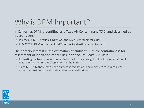# Why is DPM Important?

In California, DPM is identified as a Toxic Air Contaminant (TAC) and classified as a carcinogen.

- In previous MATES studies, DPM was the key driver for air toxic risk.
- In MATES IV DPM accounted for 68% of the total estimated air toxics risk.

The primary interest in the estimation of ambient DPM concentrations is for assessment of inhalation cancer risk in the South Coast Air Basin.

- Estimating the health benefits of emission reductions brought out by implementation of regulations targeting diesel emissions in the Basin.
- Since MATES IV there have been numerous regulations and initiatives to reduce diesel exhaust emissions by local, state and national authorities.

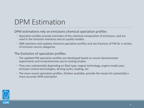### DPM Estimation

DPM estimations rely on emissions chemical speciation profiles

- Speciation profiles provide estimates of the chemical composition of emissions, and are used in the emission inventory and air quality models.
- ARB maintains and updates chemical speciation profiles and size fractions of PM for a variety of emission source categories.

#### The Evolution of speciation profiles

- The updated PM speciation profiles are developed based on recent dynamometer experiments and comprehensive source testing studies.
- They vary substantially depending on fleet type, engine technology, engine model year, emission control technologies, driving cycles, loading, etc.
- The more recent speciation profiles, if/when available, provide the means for potentially a more accurate DPM estimation.

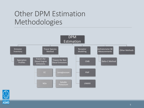### Other DPM Estimation Methodologies



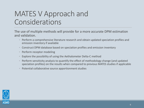### MATES V Approach and Considerations

The use of multiple methods will provide for a more accurate DPM estimation and validation.

- Perform a comprehensive literature research and obtain updated speciation profiles and emission inventory if available
- Construct DPM database based on speciation profiles and emission inventory
- Perform receptor modeling
- Explore the possibility of using the Aethalometer Delta-C method
- Perform sensitivity analysis to quantify the effect of methodology change (and updated speciation profiles) on the results when compared to previous MATES studies if applicable
- Potential collaborative source apportionment studies